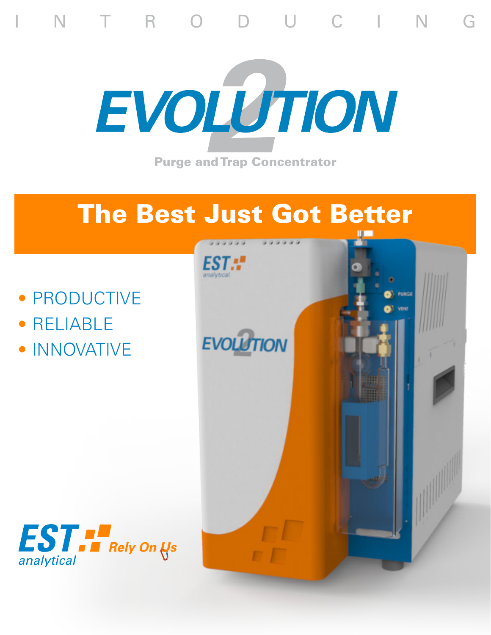

N T R O D U C I N G

## The Best Just Got Better

- PRODUCTIVE
- RELIABLE
- INNOVATIVE



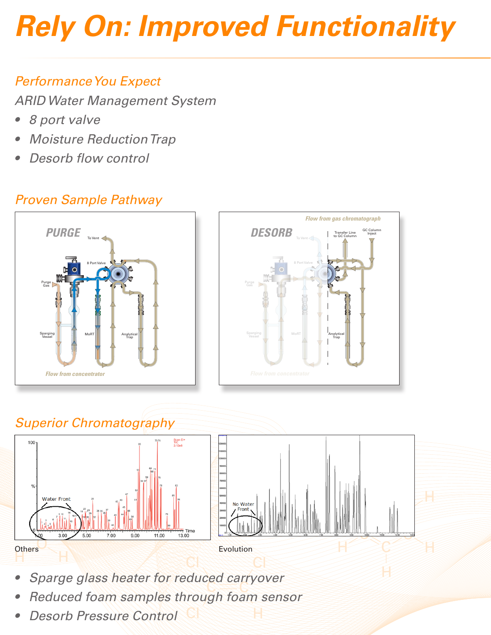# *Rely On: Improved Functionality*

#### *Performance You Expect*

*ARID Water Management System*

- *• 8 port valve*
- *• Moisture Reduction Trap*
- *• Desorb flow control*

#### *Proven Sample Pathway*







- C *• Sparge glass heater for reduced carryover*
- *• Reduced foam samples through foam sensor*
- *• Desorb Pressure Control*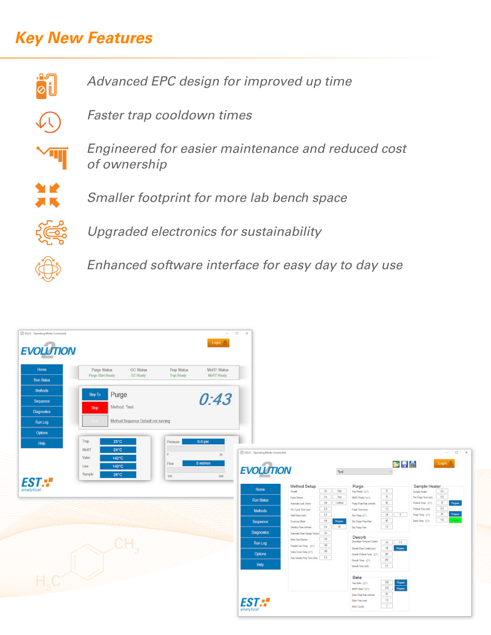### *Key New Features*



*Advanced EPC design for improved up time*



*Faster trap cooldown times*



*Engineered for easier maintenance and reduced cost of ownership*



*Smaller footprint for more lab bench space*



*Upgraded electronics for sustainability*



*Enhanced software interface for easy day to day use*

| C EV2.0 Operating Mode: Connected<br>Login $\triangle$<br><b>EVOLUTION</b><br>MoRT Status<br><b>Trap Status</b><br>Purge Status<br><b>GC Status</b><br>Home<br>GC Ready<br>Trap Roady<br>MoRT Roady<br>Purgo Start Roady<br>Run Status | $ \Box$ $\times$                                                                                                                                                                                                                                                                                                                                                                                                                                                                                                                                                                                                                                                                                                                                                                                                                                                                                                                                                                     |
|----------------------------------------------------------------------------------------------------------------------------------------------------------------------------------------------------------------------------------------|--------------------------------------------------------------------------------------------------------------------------------------------------------------------------------------------------------------------------------------------------------------------------------------------------------------------------------------------------------------------------------------------------------------------------------------------------------------------------------------------------------------------------------------------------------------------------------------------------------------------------------------------------------------------------------------------------------------------------------------------------------------------------------------------------------------------------------------------------------------------------------------------------------------------------------------------------------------------------------------|
| Mehods<br>Purge<br>0:43<br>Step To<br>Sequence<br>Method: "test<br>Stop<br><b>Diagnostics</b><br>Method Sequence Default not running<br>Run Log<br><b>Options</b>                                                                      |                                                                                                                                                                                                                                                                                                                                                                                                                                                                                                                                                                                                                                                                                                                                                                                                                                                                                                                                                                                      |
| Trap<br>$0.0$ psi<br>25°C<br>Pressure<br>Help<br>MoRT<br>$24^{\circ}$ C<br>30 <sup>°</sup><br>Valve<br>142°C<br>0 ml/min<br>Flow<br>$140^{\circ}$ C<br>Line<br>$-26^{\circ}$ C<br>Sample<br>100<br>500<br><b>EST.</b> "                | C EV2.0 Operating Mode: Connected<br>$ \Box$ $\times$<br><b>Ma</b><br>Login &<br><b>EVOLUTION</b><br>test<br>Method Setup<br>$Purge = 1$<br>Sample Heater                                                                                                                                                                                                                                                                                                                                                                                                                                                                                                                                                                                                                                                                                                                                                                                                                            |
|                                                                                                                                                                                                                                        | Home<br>On Boy<br>$\begin{array}{ c } \hline \mathbf{B} \\ \hline \mathbf{B} \end{array}$<br>$-$ On<br>Overli<br>Sample Heater<br>Pre Purge Time (vie) 23<br>$02$ 80<br>MoRT Ready 1(CY)<br>Form Sensor<br>Run Status<br>Program<br>Purge Flow Rate (estheral Co., M.<br>Of Corinus<br>Prefere Teng. (CT)<br>Automatic Loak Check.<br>$10 -$<br>$-0.0$<br>Profest Time (min)<br>0.0<br>Purge Time (win)<br>GC Cycle Time (min)<br>Methods<br>$\rho_{\rm{topan}}$<br>$-0.0$<br>$-0$ of $-1$ $-1$ $-$<br>Puge Tenp. (CT)<br>Dry Parge (CT)<br>Start Delay (min)<br>Of Pages Dry Page Flow Ro<br>Or 40 Dry Page Time<br>$-40$<br>110<br>Bake Temp. (Cr)<br>Dry Parge Flow Rate<br>Economy Mode<br>Sequence<br>$\sim 10$ .<br>Standby Flow (milimin)<br><b>Diagnostics</b><br>Automatic Drain Sparge Vessel Ch<br>Desorb<br>Deathon Presser Centri   On   55<br>$-06$<br><b>Bake Gas Bypass</b>                                                                                          |
| CH<br>HICKER                                                                                                                                                                                                                           | Run Log<br>Transfer Line Temp. $\langle C^* \rangle = \frac{1}{2}$<br>Piopan<br>Desert Flow Control (ps)<br>$-66$<br>Value Over Temp. (CP) (140)<br>Options<br>Doorb Protest Temp. (Cr) 35<br>Auto Sample Prep Time (min) $\boxed{\qquad \qquad \blacksquare \qquad \blacksquare \qquad \blacksquare \qquad \blacksquare \qquad \blacksquare \qquad \blacksquare \qquad \blacksquare \qquad \blacksquare \qquad \blacksquare \qquad \blacksquare \qquad \blacksquare \qquad \blacksquare \qquad \blacksquare \qquad \blacksquare \qquad \blacksquare \qquad \blacksquare \qquad \blacksquare \qquad \blacksquare \qquad \blacksquare \qquad \blacksquare \qquad \blacksquare \qquad \blacksquare \qquad \blacksquare \qquad \blacksquare \qquad \blacksquare \qquad \blacksquare \qquad \bl$<br>$\begin{array}{ c } \hline 230 \\ \hline 0.5 \\ \hline \end{array}$<br>Desert Temp. (C*)<br>Help<br>Deepth Time (min)<br>Bake<br>Pagan<br>Pagan<br>The Bake" (C*)<br>MoRT Bake T(C*) |
|                                                                                                                                                                                                                                        | $8 -$<br>Bake Flow Rate (within)<br><b>EST.:</b><br>$10^{\circ}$<br>Bake Time (min)<br>$\overline{\phantom{0}}$<br>Bake Cycles<br>analytical                                                                                                                                                                                                                                                                                                                                                                                                                                                                                                                                                                                                                                                                                                                                                                                                                                         |